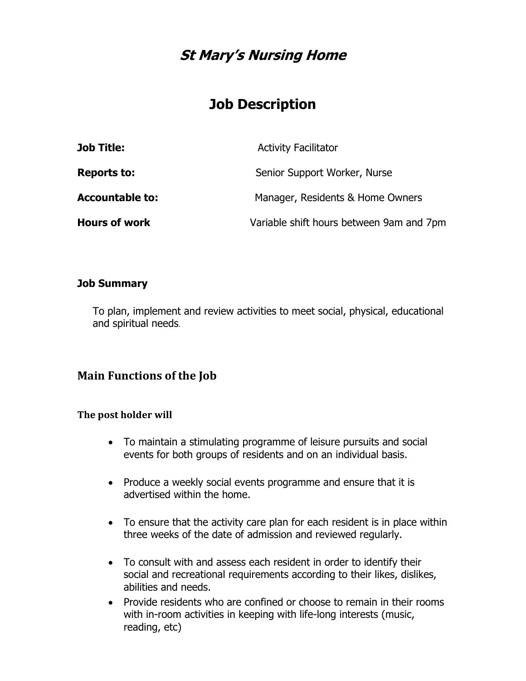## **St Mary's Nursing Home**

# **Job Description**

| <b>Job Title:</b>      | <b>Activity Facilitator</b>              |
|------------------------|------------------------------------------|
| <b>Reports to:</b>     | Senior Support Worker, Nurse             |
| <b>Accountable to:</b> | Manager, Residents & Home Owners         |
| <b>Hours of work</b>   | Variable shift hours between 9am and 7pm |

#### **Job Summary**

To plan, implement and review activities to meet social, physical, educational and spiritual needs.

### **Main Functions of the Job**

#### **The post holder will**

- To maintain a stimulating programme of leisure pursuits and social events for both groups of residents and on an individual basis.
- Produce a weekly social events programme and ensure that it is advertised within the home.
- To ensure that the activity care plan for each resident is in place within three weeks of the date of admission and reviewed regularly.
- To consult with and assess each resident in order to identify their social and recreational requirements according to their likes, dislikes, abilities and needs.
- Provide residents who are confined or choose to remain in their rooms with in-room activities in keeping with life-long interests (music, reading, etc)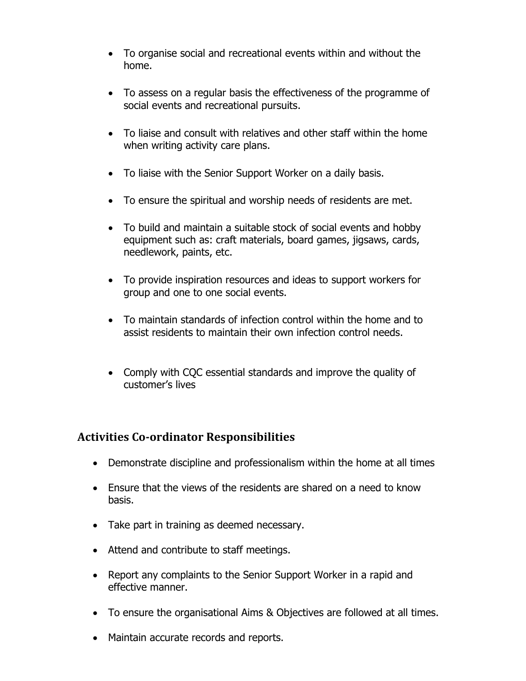- To organise social and recreational events within and without the home.
- To assess on a regular basis the effectiveness of the programme of social events and recreational pursuits.
- To liaise and consult with relatives and other staff within the home when writing activity care plans.
- To liaise with the Senior Support Worker on a daily basis.
- To ensure the spiritual and worship needs of residents are met.
- To build and maintain a suitable stock of social events and hobby equipment such as: craft materials, board games, jigsaws, cards, needlework, paints, etc.
- To provide inspiration resources and ideas to support workers for group and one to one social events.
- To maintain standards of infection control within the home and to assist residents to maintain their own infection control needs.
- Comply with CQC essential standards and improve the quality of customer's lives

## **Activities Co-ordinator Responsibilities**

- Demonstrate discipline and professionalism within the home at all times
- Ensure that the views of the residents are shared on a need to know basis.
- Take part in training as deemed necessary.
- Attend and contribute to staff meetings.
- Report any complaints to the Senior Support Worker in a rapid and effective manner.
- To ensure the organisational Aims & Objectives are followed at all times.
- Maintain accurate records and reports.